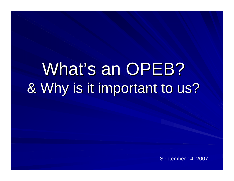# What's an OPEB? & Why is it important to us?

September 14, 2007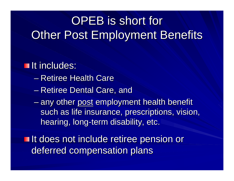# OPEB is short for **Other Post Employment Benefits**

**It includes:** – Retiree Health Care – Retiree Dental Care, and – any other post employment health benefit such as life insurance, prescriptions, vision, hearing, long-term disability, etc.

**If does not include retiree pension or** deferred compensation plans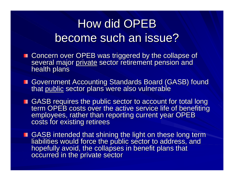# How did OPEB become such an issue?

- Concern over OPEB was triggered by the collapse of<br>several major private sector retirement pension and<br>health plans
- Government Accounting Standards Board (GASB) found<br>that public sector plans were also vulnerable
- GASB requires the public sector to account for total long<br>term OPEB costs over the active service life of benefiting<br>employees, rather than reporting current year OPEB<br>costs for existing retirees
- GASB intended that shining the light on these long term<br>liabilities would force the public sector to address, and<br>hopefully avoid, the collapses in benefit plans that<br>occurred in the private sector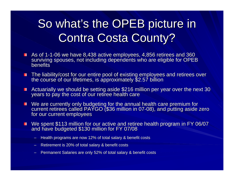# So what's the OPEB picture in **Contra Costa County?**

- As of 1-1-06 we have 8,438 active employees, 4,856 retirees and 360 surviving spouses, not including dependents who are eligible for OPEB benefits
- The liability/cost for our entire pool of existing employees and retirees over<br>the course of our lifetimes, is approximately \$2.57 billion п
- Actuarially we should be setting aside \$216 million per year over the next 30 years to pay the cost of our retiree health care п
- We are currently only budgeting for the annual health care premium for<br>current retirees called PAYGO (\$36 million in 07-08), and putting aside zero<br>for our current employees п
- We spent \$113 million for our active and retiree health program in FY 06/07<br>and have budgeted \$130 million for FY 07/08
	- Health programs are now 12% of total salary & benefit costs
	- Retirement is 20% of total salary & benefit costs
	- Permanent Salaries are only 52% of total salary & benefit costs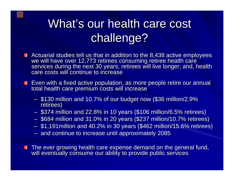# What's our health care cost challenge?

- Actuarial studies tell us that in addition to the 8,438 active employees we will have over 12,773 retirees consuming retiree health care<br>services during the next 30 years; retirees will live longer; and, health<br>care costs will continue to increase
- **Exame with a fixed active population, as more people retire our annual Letter** total health care premium costs will increase
	- \$130 million and 10.7% of our budget now (\$36 million/2.9% retirees)
	- $-$  \$374 million and 22.8% in 10 years (\$106 million/6.5% retirees)
	- $-$  \$684 million and 31.0% in 20 years (\$237 million/10.7% retirees)
	- $-$  \$1,191 million and 40.2% in 30 years (\$462 million/15.6% retirees)
	- and continue to increase until approximately 2085

The ever growing health care expense demand on the general fund,<br>will eventually consume our ability to provide public services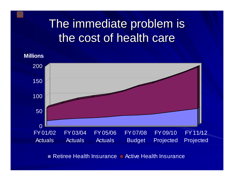### The immediate problem is the cost of health care

**Millions**



Retiree Health Insurance ■ Active Health Insurance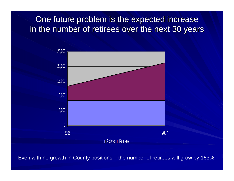One future problem is the expected increase in the number of retirees over the next 30 years



Even with no growth in County positions – the number of retirees will grow by 163%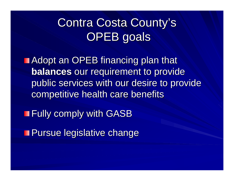# Contra Costa County's OPEB goals

**Adopt an OPEB financing plan that balances** our requirement to provide public services with our desire to provide competitive health care benefits

**Fully comply with GASB** 

**Pursue legislative change**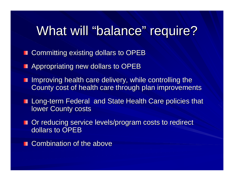# What will "balance" require?

- **E** Committing existing dollars to OPEB
- **Appropriating new dollars to OPEB**
- Improving health care delivery, while controlling the County cost of health care through plan improvements
- **Long-term Federal and State Health Care policies that lower County costs**
- Or reducing service levels/program costs to redirect dollars to OPEB
- Combination of the above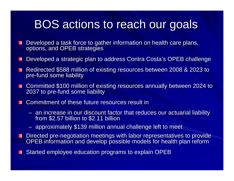#### BOS actions to reach our goals

- Developed a task force to gather information on health care plans, options, and OPEB strategies ш
- Developed a strategic plan to address Contra Costa's OPEB challenge
- Redirected \$588 million of existing resources between 2008 & 2023 to pre-fund some liability
- Committed \$100 million of existing resources annually between 2024 to 2037 to pre-fund some liability
- Commitment of these future resources result in **THE R** 
	- an increase in our discount factor that reduces our actuarial liability from \$2.57 billion to \$2.11 billion
	- $-$  approximately \$139 million annual challenge left to meet
- Directed pre-negotiation meetings with labor representatives to provide OPEB information and develop possible models for health plan reform
- Started employee education programs to explain OPEB